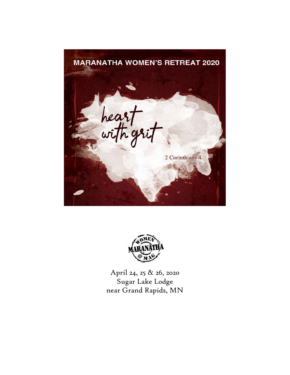



April 24, 25 & 26, 2020 Sugar Lake Lodge near Grand Rapids, MN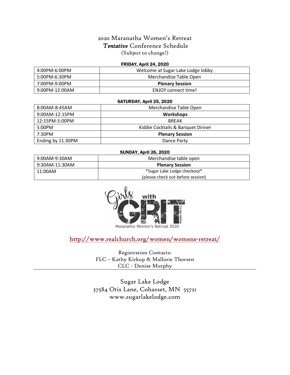## 2020 Maranatha Women's Retreat *Tentative* Conference Schedule (Subject to change!)

### FRIDAY, April 24, 2020

| 4:00PM-6:00PM     | Welcome at Sugar Lake Lodge lobby |
|-------------------|-----------------------------------|
| 5:00PM-6:30PM     | Merchandise Table Open            |
| 7:00PM-9:00PM     | <b>Plenary Session</b>            |
| $9:00$ PM-12:00AM | ENJOY connect time!               |

#### SATURDAY, April 25, 2020

| 8:00AM-8:45AM     | Merchandise Table Open            |
|-------------------|-----------------------------------|
| 9:00AM-12:15PM    | <b>Workshops</b>                  |
| 12:15PM-5:00PM    | <b>BREAK</b>                      |
| 5:00PM            | Kiddie Cocktails & Banquet Dinner |
| 7:30PM            | <b>Plenary Session</b>            |
| Ending by 11:30PM | Dance Party                       |

### SUNDAY, April 26, 2020

| 9:00AM-9:30AM  | Merchandise table open            |
|----------------|-----------------------------------|
| 9:30AM-11:30AM | <b>Plenary Session</b>            |
| 11:00AM        | *Sugar Lake Lodge checkout*       |
|                | (please check out before session) |



Maranatha Women's Retreat 2020

http://www.realchurch.org/women/womens-retreat/

Registration Contacts: FLC – Kathy Kirkup & Mallorie Thorsen CLC - Denise Murphy

Sugar Lake Lodge 37584 Otis Lane, Cohasset, MN 55721 www.sugarlakelodge.com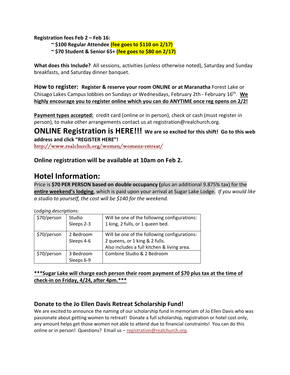**Registration fees Feb 2 – Feb 16:**

**~ \$100 Regular Attendee (fee goes to \$110 on 2/17)**

**~ \$70 Student & Senior 65+ (fee goes to \$80 on 2/17)**

**What does this Include?** All sessions, activities (unless otherwise noted), Saturday and Sunday breakfasts, and Saturday dinner banquet.

**How to register: Register & reserve your room ONLINE or at Maranatha** Forest Lake or Chisago Lakes Campus lobbies on Sundays or Wednesdays, February 2th - February 16th. **We highly encourage you to register online which you can do ANYTIME once reg opens on 2/2!**

**Payment types accepted:** credit card (online or in person), check or cash (must register in person), to make other arrangements contact us at registration@realchurch.org.

**ONLINE Registration is HERE!!! We are so excited for this shift! Go to this web address and click "REGISTER HERE"!**

http://www.realchurch.org/women/womens-retreat/

**Online registration will be available at 10am on Feb 2.**

# **Hotel Information:**

Price is **\$70 PER PERSON based on double occupancy (**plus an additional 9.875% tax) for the **entire weekend's lodging**, which is paid upon your arrival at Sugar Lake Lodge. *If you would like a studio to yourself, the cost will be \$140 for the weekend.*

| LOUQING DESCRIPTIONS. |            |                                              |  |
|-----------------------|------------|----------------------------------------------|--|
| \$70/person           | Studio     | Will be one of the following configurations: |  |
|                       | Sleeps 2-3 | 1 king, 2 fulls, or 1 queen bed.             |  |
| \$70/person           | 2 Bedroom  | Will be one of the following configurations: |  |
|                       | Sleeps 4-6 | 2 queens, or 1 king & 2 fulls.               |  |
|                       |            | Also includes a full kitchen & living area.  |  |
| \$70/person           | 3 Bedroom  | Combine Studio & 2 Bedroom                   |  |
|                       | Sleeps 6-9 |                                              |  |

*Lodging descriptions:*

**\*\*\*Sugar Lake will charge each person their room payment of \$70 plus tax at the time of check-in on Friday, 4/24, after 4pm.\*\*\***

## **Donate to the Jo Ellen Davis Retreat Scholarship Fund!**

We are excited to announce the naming of our scholarship fund in memoriam of Jo Ellen Davis who was passionate about getting women to retreat! Donate a full scholarship, registration or hotel cost only, any amount helps get those women not able to attend due to financial constraints! You can do this online or in person! Questions? Email us - registration@realchurch.org.